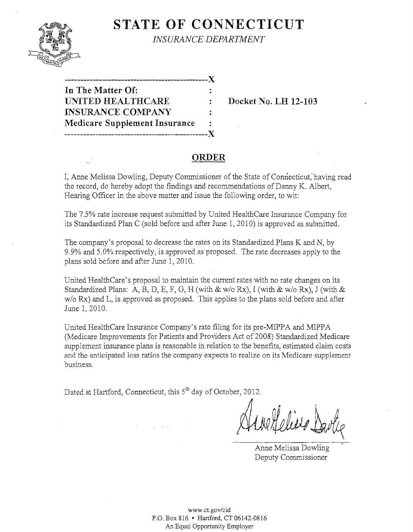

# **STATE OF CONNECTICUT** *INSURANCE DEPARTMENT*

| In The Matter Of:                    |    |
|--------------------------------------|----|
| <b>UNITED HEALTHCARE</b>             |    |
| <b>INSURANCE COMPANY</b>             |    |
| <b>Medicare Supplement Insurance</b> | ٠. |
| ------------------------------------ | X. |

**UDIE:** Docket No. LH 12-103

### **ORDER**

I, Anne Melissa Dowling, Deputy Commissioner of the State of Connecticut, having read the record, do hereby adopt the findings and recommendations of Danny K. Albert, Hearing Officer in the above matter and issue the following order, to wit:

The 7.5% rate increase request submitted by United HealthCare Insurance Company for its Standardized Plan C (sold before and after June 1,2010) is approved as submitted.

The company's proposal to decrease the rates on its Standardized Plans K and N, by 9.9% and 5.0% respectively, is approved as proposed. The rate decreases apply to the plans sold before and after June 1,2010.

United HealthCare's proposal to maintain the current rates with no rate changes on its Standardized Plans: A, B, D, E, F, G, H (with & *wlo* Rx), I (with & *wlo* Rx), J (with & *wlo* Rx) and L, is approved as proposed. This applies to the plans sold before and after June 1,2010.

United HealthCare Insurance Company's rate filing for its pre-MIPPA and MIPPA (Medicare Improvements for Patients and Providers Act of 2008) Standardized Medicare supplement insurance plans is reasonable in relation to the benefits, estimated claim costs and the anticipated loss ratios the company expects to realize on its Medicare supplement business.

Dated at Hartford, Connecticut, this 5<sup>th</sup> day of October, 2012.

ree 1

Anne Melissa Dowling Deputy Commissioner

wwW.CLgov/cid P.O. Box 816 • Hartford, CT 06142-0816 An Equal Opportunity Employer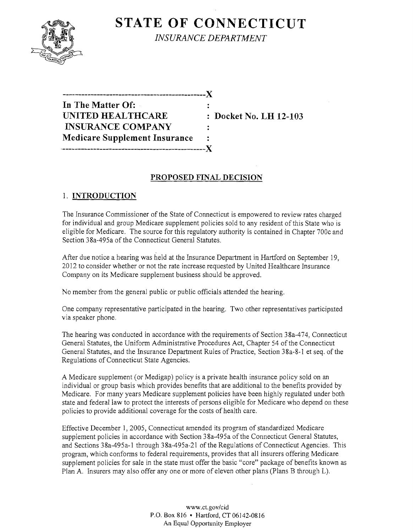

**STATE OF CONNECTICUT** 

*INSURANCE DEPARTMENT* 

| .                                    |   |
|--------------------------------------|---|
| In The Matter Of:                    |   |
| UNITED HEALTHCARE                    |   |
| <b>INSURANCE COMPANY</b>             | ÷ |
| <b>Medicare Supplement Insurance</b> |   |
|                                      |   |

**Docket No. LH 12-103** 

## **PROPOSED FINAL DECISION**

# 1. **INTRODUCTION**

The Insurance Commissioner of the State of Connecticut is empowered to review rates charged for individual and group Medicare supplement policies sold to any resident of this State who is eligible for Medicare. The source for this regulatory authority is contained in Chapter 700c and Section 38a-495a of the Connecticut General Statutes.

After due notice a hearing was held at the Insurance Department in Hartford on September 19, 2012 to consider whether or not the rate increase requested by United Healthcare Insurance Company on its Medicare supplement business should be approved.

No member from the general public or public officials attended the hearing.

One company representative participated in the hearing. Two other representatives participated via speaker phone.

The hearing was conducted in accordance with the requirements of Section 38a-474, Connecticut General Statutes, the Uniform Administrative Procedures Act, Chapter 54 of the Connecticut General Statutes, and the Insurance Department Rules of Practice, Section 38a-8-l et seq. of the Regulations of Connecticut State Agencies.

A Medicare supplement (or Medigap) policy is a private health insurance policy sold on an individual or group basis which provides benefits that are additional to the benefits provided by Medicare. For many years Medicare supplement policies have been highly regulated under both state and federal law to protect the interests of persons eligible for Medicare who depend on these policies to provide additional coverage for the costs of health care.

Effective December 1,2005, Connecticut amended its program of standardized Medicare supplement policies in accordance with Section 38a-495a of the Connecticut General Statutes, and Sections 38a-495a-l through 38a-495a-2l of the Regulations of Connecticut Agencies. This program, which conforms to federal requirements, provides that all insurers offering Medicare supplement policies for sale in the state must offer the basic "core" package of benefits known as Plan A. Insurers may also offer any one or more of eleven other plans (Plans B through L).

> www.CLgov/cid P.O. Box 816 • Hartford, CT 06142-0816 An Equal Opportunity Employer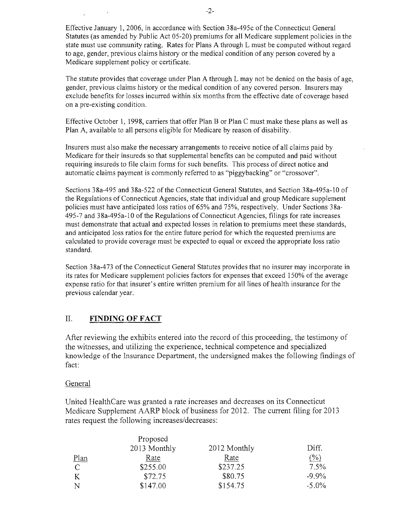Effective January 1,2006, in accordance with Section 38a-495c of the Connecticut General Statutes (as amended by Public Act 05-20) premiums for all Medicare supplement policies in the state must use community rating. Rates for Plans A through L must be computed without regard to age, gender, previous claims history or the medical condition of any person covered by a Medicare supplement policy or certificate.

The statute provides that coverage under Plan A through L may not be denied on the basis of age, gender, previous claims history or the medical condition of any covered person. Insurers may exclude benefits for losses incurred within six months from the effective date of coverage based on a pre-existing condition.

Effective October 1, 1998, carriers that offer Plan B or Plan C must make these plans as well as Plan A, available to all persons eligible for Medicare by reason of disability.

Insurers must also make the necessary arrangements to receive notice of all claims paid by Medicare for their insureds so that supplemental benefits can be computed and paid without requiring insureds to file claim forms for such benefits. This process of direct notice and automatic claims payment is commonly referred to as "piggybacking" or "crossover".

Sections 38a-495 and 38a-522 of the Connecticut General Statutes, and Section 38a-495a-10 of the Regulations of Connecticut Agencies, state that individual and group Medicare supplement policies must have anticipated loss ratios of 65% and 75%, respectively. Under Sections 38a-495-7 and 38a-495a-1 0 ofthe Regulations of Connecticut Agencies, filings for rate increases must demonstrate that actual and expected losses in relation to premiums meet these standards, and anticipated loss ratios for the entire future period for which the requested premiums are calculated to provide coverage must be expected to equal or exceed the appropriate loss ratio standard.

Section 38a-473 of the Connecticut General Statutes provides that no insurer may incorporate in its rates for Medicare supplement policies factors for expenses that exceed 150% of the average expense ratio for that insurer's entire written premium for all lines of health insurance for the previous calendar year.

## II. **FINDING OF FACT**

After reviewing the exhibits entered into the record of this proceeding, the testimony of the witnesses, and utilizing the experience, technical competence and specialized knowledge of the Insurance Department, the undersigned makes the following findings of fact:

#### General

United HealthCare was granted a rate increases and decreases on its Connecticut Medicare Supplement AARP block of business for 2012. The current filing for 2013 rates request the following increases/decreases:

| Diff.    |
|----------|
| $(\% )$  |
| 7.5%     |
| $-9.9\%$ |
| $-5.0\%$ |
|          |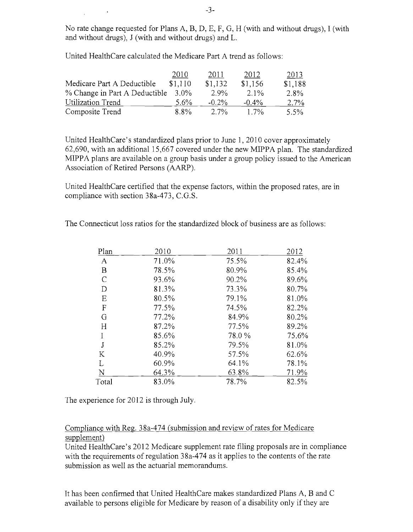No rate change requested for Plans A, B, D, E, F, G, H (with and without drugs), I (with and without drugs), J (with and without drugs) and L.

|                               | 2010    | 2011     | 2012     | 2013    |
|-------------------------------|---------|----------|----------|---------|
| Medicare Part A Deductible    | \$1,110 | \$1,132  | \$1,156  | \$1,188 |
| % Change in Part A Deductible | 3.0%    | $2.9\%$  | $2.1\%$  | 2.8%    |
| Utilization Trend             | $5.6\%$ | $-0.2\%$ | $-0.4\%$ | 2.7%    |
| Composite Trend               | 8.8%    | $2.7\%$  | $1.7\%$  | 5.5%    |

United HealthCare calculated the Medicare Part A trend as follows:

 $\mathcal{L}^{\text{max}}$  and  $\mathcal{L}^{\text{max}}$ 

United HealthCare's standardized plans prior to June 1, 2010 cover approximately 62,690, with an additional 15,667 covered under the new MIPPA plan. The standardized MIPPA plans are available on a group basis under a group policy issued to the American Association of Retired Persons (AARP).

United HealthCare certified that the expense factors, within the proposed rates, are in compliance with section 38a-473, C.G.S.

| Plan         | 2010  | 2011  | 2012  |
|--------------|-------|-------|-------|
| A            | 71.0% | 75.5% | 82.4% |
| B            | 78.5% | 80.9% | 85.4% |
| $\mathsf{C}$ | 93.6% | 90.2% | 89.6% |
| D            | 81.3% | 73.3% | 80.7% |
| E            | 80.5% | 79.1% | 81.0% |
| F            | 77.5% | 74.5% | 82.2% |
| G            | 77.2% | 84.9% | 80.2% |
| H            | 87.2% | 77.5% | 89.2% |
| I            | 85.6% | 78.0% | 75.6% |
| J            | 85.2% | 79.5% | 81.0% |
| K            | 40.9% | 57.5% | 62.6% |
| L            | 60.9% | 64.1% | 78.1% |
| N            | 64.3% | 63.8% | 71.9% |
| Total        | 83.0% | 78.7% | 82.5% |

The Connecticut loss ratios for the standardized block of business are as follows:

The experience for 2012 is through July.

# Compliance with Reg. 38a-474 (submission and review of rates for Medicare supplement)

United HealthCare's 2012 Medicare supplement rate filing proposals are in compliance with the requirements of regulation 38a-474 as it applies to the contents of the rate submission as well as the actuarial memorandums.

It has been confirmed that United HealthCare makes standardized Plans A, Band C available to persons eligible for Medicare by reason of a disability only if they are